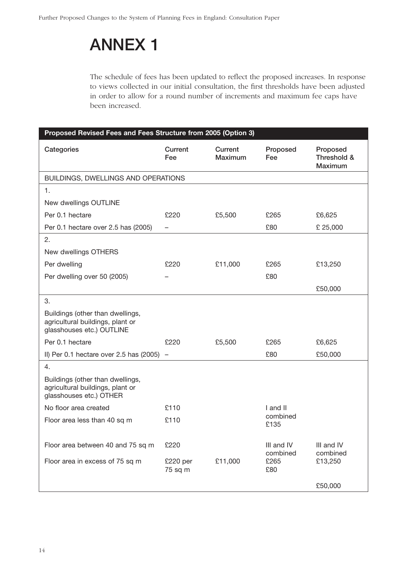## **ANNEX 1**

The schedule of fees has been updated to reflect the proposed increases. In response to views collected in our initial consultation, the first thresholds have been adjusted in order to allow for a round number of increments and maximum fee caps have been increased.

| Proposed Revised Fees and Fees Structure from 2005 (Option 3)                                     |                     |                    |                        |                                    |  |
|---------------------------------------------------------------------------------------------------|---------------------|--------------------|------------------------|------------------------------------|--|
| Categories                                                                                        | Current<br>Fee      | Current<br>Maximum | Proposed<br>Fee        | Proposed<br>Threshold &<br>Maximum |  |
| BUILDINGS, DWELLINGS AND OPERATIONS                                                               |                     |                    |                        |                                    |  |
| 1.                                                                                                |                     |                    |                        |                                    |  |
| New dwellings OUTLINE                                                                             |                     |                    |                        |                                    |  |
| Per 0.1 hectare                                                                                   | £220                | £5,500             | £265                   | £6,625                             |  |
| Per 0.1 hectare over 2.5 has (2005)                                                               | -                   |                    | £80                    | £ 25,000                           |  |
| 2.                                                                                                |                     |                    |                        |                                    |  |
| New dwellings OTHERS                                                                              |                     |                    |                        |                                    |  |
| Per dwelling                                                                                      | £220                | £11,000            | £265                   | £13,250                            |  |
| Per dwelling over 50 (2005)                                                                       |                     |                    | £80                    |                                    |  |
|                                                                                                   |                     |                    |                        | £50,000                            |  |
| 3.                                                                                                |                     |                    |                        |                                    |  |
| Buildings (other than dwellings,<br>agricultural buildings, plant or<br>glasshouses etc.) OUTLINE |                     |                    |                        |                                    |  |
| Per 0.1 hectare                                                                                   | £220                | £5,500             | £265                   | £6,625                             |  |
| II) Per 0.1 hectare over 2.5 has $(2005)$ -                                                       |                     |                    | £80                    | £50,000                            |  |
| 4.                                                                                                |                     |                    |                        |                                    |  |
| Buildings (other than dwellings,<br>agricultural buildings, plant or<br>glasshouses etc.) OTHER   |                     |                    |                        |                                    |  |
| No floor area created                                                                             | £110                |                    | I and II               |                                    |  |
| Floor area less than 40 sq m                                                                      | £110                |                    | combined<br>£135       |                                    |  |
| Floor area between 40 and 75 sq m                                                                 | £220                |                    | III and IV<br>combined | III and IV<br>combined             |  |
| Floor area in excess of 75 sq m                                                                   | £220 per<br>75 sq m | £11,000            | £265<br>£80            | £13,250                            |  |
|                                                                                                   |                     |                    |                        | £50,000                            |  |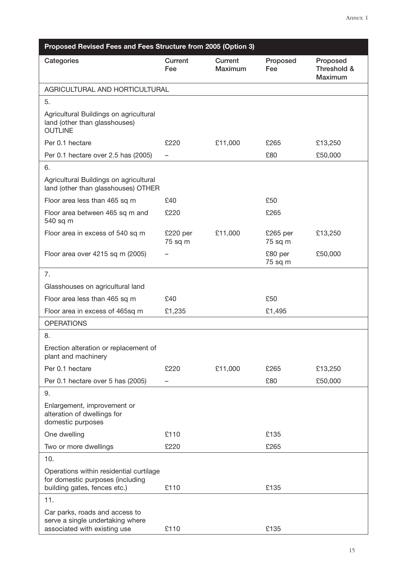| Proposed Revised Fees and Fees Structure from 2005 (Option 3)                                               |                     |                           |                        |                                    |  |
|-------------------------------------------------------------------------------------------------------------|---------------------|---------------------------|------------------------|------------------------------------|--|
| Categories                                                                                                  | Current<br>Fee      | Current<br><b>Maximum</b> | Proposed<br><b>Fee</b> | Proposed<br>Threshold &<br>Maximum |  |
| AGRICULTURAL AND HORTICULTURAL                                                                              |                     |                           |                        |                                    |  |
| 5.                                                                                                          |                     |                           |                        |                                    |  |
| Agricultural Buildings on agricultural<br>land (other than glasshouses)<br><b>OUTLINE</b>                   |                     |                           |                        |                                    |  |
| Per 0.1 hectare                                                                                             | £220                | £11,000                   | £265                   | £13,250                            |  |
| Per 0.1 hectare over 2.5 has (2005)                                                                         |                     |                           | £80                    | £50,000                            |  |
| 6.                                                                                                          |                     |                           |                        |                                    |  |
| Agricultural Buildings on agricultural<br>land (other than glasshouses) OTHER                               |                     |                           |                        |                                    |  |
| Floor area less than 465 sq m                                                                               | £40                 |                           | £50                    |                                    |  |
| Floor area between 465 sq m and<br>540 sq m                                                                 | £220                |                           | £265                   |                                    |  |
| Floor area in excess of 540 sq m                                                                            | £220 per<br>75 sq m | £11,000                   | £265 per<br>75 sq m    | £13,250                            |  |
| Floor area over 4215 sq m (2005)                                                                            |                     |                           | £80 per<br>75 sq m     | £50,000                            |  |
| 7.                                                                                                          |                     |                           |                        |                                    |  |
| Glasshouses on agricultural land                                                                            |                     |                           |                        |                                    |  |
| Floor area less than 465 sq m                                                                               | £40                 |                           | £50                    |                                    |  |
| Floor area in excess of 465sq m                                                                             | £1,235              |                           | £1,495                 |                                    |  |
| <b>OPERATIONS</b>                                                                                           |                     |                           |                        |                                    |  |
| 8.                                                                                                          |                     |                           |                        |                                    |  |
| Erection alteration or replacement of<br>plant and machinery                                                |                     |                           |                        |                                    |  |
| Per 0.1 hectare                                                                                             | £220                | £11,000                   | £265                   | £13,250                            |  |
| Per 0.1 hectare over 5 has (2005)                                                                           |                     |                           | £80                    | £50,000                            |  |
| 9.                                                                                                          |                     |                           |                        |                                    |  |
| Enlargement, improvement or<br>alteration of dwellings for<br>domestic purposes                             |                     |                           |                        |                                    |  |
| One dwelling                                                                                                | £110                |                           | £135                   |                                    |  |
| Two or more dwellings                                                                                       | £220                |                           | £265                   |                                    |  |
| 10.                                                                                                         |                     |                           |                        |                                    |  |
| Operations within residential curtilage<br>for domestic purposes (including<br>building gates, fences etc.) | £110                |                           | £135                   |                                    |  |
| 11.                                                                                                         |                     |                           |                        |                                    |  |
| Car parks, roads and access to<br>serve a single undertaking where<br>associated with existing use          | £110                |                           | £135                   |                                    |  |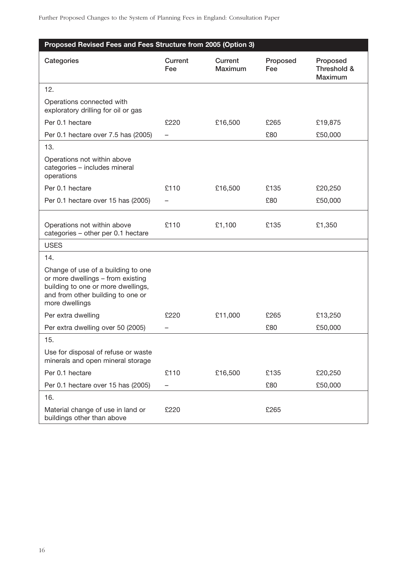| Proposed Revised Fees and Fees Structure from 2005 (Option 3)                                                                                                        |                |                           |                 |                                    |  |
|----------------------------------------------------------------------------------------------------------------------------------------------------------------------|----------------|---------------------------|-----------------|------------------------------------|--|
| Categories                                                                                                                                                           | Current<br>Fee | Current<br><b>Maximum</b> | Proposed<br>Fee | Proposed<br>Threshold &<br>Maximum |  |
| 12.                                                                                                                                                                  |                |                           |                 |                                    |  |
| Operations connected with<br>exploratory drilling for oil or gas                                                                                                     |                |                           |                 |                                    |  |
| Per 0.1 hectare                                                                                                                                                      | £220           | £16,500                   | £265            | £19,875                            |  |
| Per 0.1 hectare over 7.5 has (2005)                                                                                                                                  |                |                           | £80             | £50,000                            |  |
| 13.                                                                                                                                                                  |                |                           |                 |                                    |  |
| Operations not within above<br>categories - includes mineral<br>operations                                                                                           |                |                           |                 |                                    |  |
| Per 0.1 hectare                                                                                                                                                      | £110           | £16,500                   | £135            | £20,250                            |  |
| Per 0.1 hectare over 15 has (2005)                                                                                                                                   |                |                           | £80             | £50,000                            |  |
| Operations not within above<br>categories - other per 0.1 hectare                                                                                                    | £110           | £1,100                    | £135            | £1,350                             |  |
| <b>USES</b>                                                                                                                                                          |                |                           |                 |                                    |  |
| 14.                                                                                                                                                                  |                |                           |                 |                                    |  |
| Change of use of a building to one<br>or more dwellings - from existing<br>building to one or more dwellings,<br>and from other building to one or<br>more dwellings |                |                           |                 |                                    |  |
| Per extra dwelling                                                                                                                                                   | £220           | £11,000                   | £265            | £13,250                            |  |
| Per extra dwelling over 50 (2005)                                                                                                                                    |                |                           | £80             | £50,000                            |  |
| 15.                                                                                                                                                                  |                |                           |                 |                                    |  |
| Use for disposal of refuse or waste<br>minerals and open mineral storage                                                                                             |                |                           |                 |                                    |  |
| Per 0.1 hectare                                                                                                                                                      | £110           | £16,500                   | £135            | £20,250                            |  |
| Per 0.1 hectare over 15 has (2005)                                                                                                                                   |                |                           | £80             | £50,000                            |  |
| 16.                                                                                                                                                                  |                |                           |                 |                                    |  |
| Material change of use in land or<br>buildings other than above                                                                                                      | £220           |                           | £265            |                                    |  |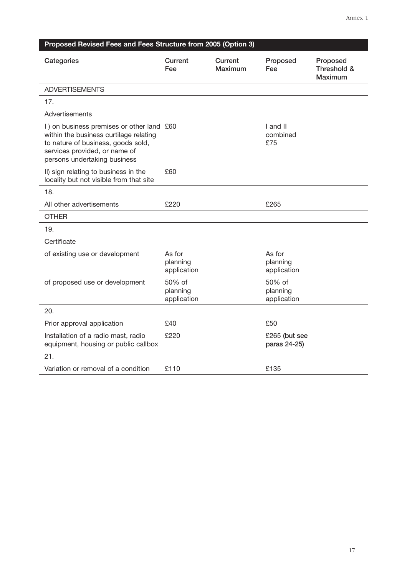| Proposed Revised Fees and Fees Structure from 2005 (Option 3)                                                                                                                              |                                   |                    |                                   |                                    |  |
|--------------------------------------------------------------------------------------------------------------------------------------------------------------------------------------------|-----------------------------------|--------------------|-----------------------------------|------------------------------------|--|
| Categories                                                                                                                                                                                 | Current<br>Fee                    | Current<br>Maximum | Proposed<br>Fee                   | Proposed<br>Threshold &<br>Maximum |  |
| <b>ADVERTISEMENTS</b>                                                                                                                                                                      |                                   |                    |                                   |                                    |  |
| 17.                                                                                                                                                                                        |                                   |                    |                                   |                                    |  |
| Advertisements                                                                                                                                                                             |                                   |                    |                                   |                                    |  |
| I) on business premises or other land £60<br>within the business curtilage relating<br>to nature of business, goods sold,<br>services provided, or name of<br>persons undertaking business |                                   |                    | I and II<br>combined<br>£75       |                                    |  |
| II) sign relating to business in the<br>locality but not visible from that site                                                                                                            | £60                               |                    |                                   |                                    |  |
| 18.                                                                                                                                                                                        |                                   |                    |                                   |                                    |  |
| All other advertisements                                                                                                                                                                   | £220                              |                    | £265                              |                                    |  |
| <b>OTHER</b>                                                                                                                                                                               |                                   |                    |                                   |                                    |  |
| 19.                                                                                                                                                                                        |                                   |                    |                                   |                                    |  |
| Certificate                                                                                                                                                                                |                                   |                    |                                   |                                    |  |
| of existing use or development                                                                                                                                                             | As for<br>planning<br>application |                    | As for<br>planning<br>application |                                    |  |
| of proposed use or development                                                                                                                                                             | 50% of<br>planning<br>application |                    | 50% of<br>planning<br>application |                                    |  |
| 20.                                                                                                                                                                                        |                                   |                    |                                   |                                    |  |
| Prior approval application                                                                                                                                                                 | £40                               |                    | £50                               |                                    |  |
| Installation of a radio mast, radio<br>equipment, housing or public callbox                                                                                                                | £220                              |                    | £265 (but see<br>paras 24-25)     |                                    |  |
| 21.                                                                                                                                                                                        |                                   |                    |                                   |                                    |  |
| Variation or removal of a condition                                                                                                                                                        | £110                              |                    | £135                              |                                    |  |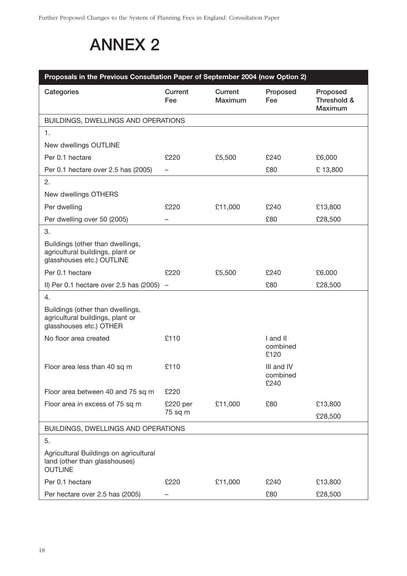## **ANNEX 2**

| Proposals in the Previous Consultation Paper of September 2004 (now Option 2)                     |                          |                    |                                |                                    |  |
|---------------------------------------------------------------------------------------------------|--------------------------|--------------------|--------------------------------|------------------------------------|--|
| Categories                                                                                        | Current<br>Fee           | Current<br>Maximum | Proposed<br>Fee                | Proposed<br>Threshold &<br>Maximum |  |
| BUILDINGS, DWELLINGS AND OPERATIONS                                                               |                          |                    |                                |                                    |  |
| 1.                                                                                                |                          |                    |                                |                                    |  |
| New dwellings OUTLINE                                                                             |                          |                    |                                |                                    |  |
| Per 0.1 hectare                                                                                   | £220                     | £5,500             | £240                           | £6,000                             |  |
| Per 0.1 hectare over 2.5 has (2005)                                                               | $\overline{\phantom{0}}$ |                    | £80                            | £13,800                            |  |
| 2.                                                                                                |                          |                    |                                |                                    |  |
| New dwellings OTHERS                                                                              |                          |                    |                                |                                    |  |
| Per dwelling                                                                                      | £220                     | £11,000            | £240                           | £13,800                            |  |
| Per dwelling over 50 (2005)                                                                       |                          |                    | £80                            | £28,500                            |  |
| 3.                                                                                                |                          |                    |                                |                                    |  |
| Buildings (other than dwellings,<br>agricultural buildings, plant or<br>glasshouses etc.) OUTLINE |                          |                    |                                |                                    |  |
| Per 0.1 hectare                                                                                   | £220                     | £5,500             | £240                           | £6,000                             |  |
| II) Per 0.1 hectare over 2.5 has $(2005)$ -                                                       |                          |                    | £80                            | £28,500                            |  |
| 4.                                                                                                |                          |                    |                                |                                    |  |
| Buildings (other than dwellings,<br>agricultural buildings, plant or<br>glasshouses etc.) OTHER   |                          |                    |                                |                                    |  |
| No floor area created                                                                             | £110                     |                    | I and II<br>combined<br>£120   |                                    |  |
| Floor area less than 40 sq m                                                                      | £110                     |                    | III and IV<br>combined<br>£240 |                                    |  |
| Floor area between 40 and 75 sq m                                                                 | £220                     |                    |                                |                                    |  |
| Floor area in excess of 75 sq m                                                                   | £220 per                 | £11,000            | £80                            | £13,800                            |  |
|                                                                                                   | 75 sq m                  |                    |                                | £28,500                            |  |
| BUILDINGS, DWELLINGS AND OPERATIONS                                                               |                          |                    |                                |                                    |  |
| 5.                                                                                                |                          |                    |                                |                                    |  |
| Agricultural Buildings on agricultural<br>land (other than glasshouses)<br><b>OUTLINE</b>         |                          |                    |                                |                                    |  |
| Per 0.1 hectare                                                                                   | £220                     | £11,000            | £240                           | £13,800                            |  |
| Per hectare over 2.5 has (2005)                                                                   |                          |                    | £80                            | £28,500                            |  |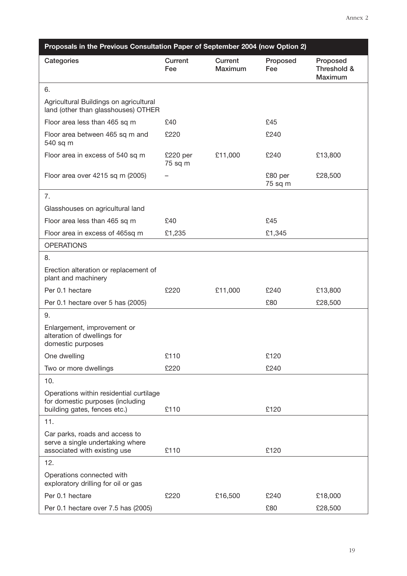| Proposals in the Previous Consultation Paper of September 2004 (now Option 2)                               |                     |                    |                    |                                    |  |
|-------------------------------------------------------------------------------------------------------------|---------------------|--------------------|--------------------|------------------------------------|--|
| Categories                                                                                                  | Current<br>Fee      | Current<br>Maximum | Proposed<br>Fee    | Proposed<br>Threshold &<br>Maximum |  |
| 6.                                                                                                          |                     |                    |                    |                                    |  |
| Agricultural Buildings on agricultural<br>land (other than glasshouses) OTHER                               |                     |                    |                    |                                    |  |
| Floor area less than 465 sq m                                                                               | £40                 |                    | £45                |                                    |  |
| Floor area between 465 sq m and<br>540 sq m                                                                 | £220                |                    | £240               |                                    |  |
| Floor area in excess of 540 sq m                                                                            | £220 per<br>75 sq m | £11,000            | £240               | £13,800                            |  |
| Floor area over 4215 sq m (2005)                                                                            |                     |                    | £80 per<br>75 sq m | £28,500                            |  |
| 7.                                                                                                          |                     |                    |                    |                                    |  |
| Glasshouses on agricultural land                                                                            |                     |                    |                    |                                    |  |
| Floor area less than 465 sq m                                                                               | £40                 |                    | £45                |                                    |  |
| Floor area in excess of 465sq m                                                                             | £1,235              |                    | £1,345             |                                    |  |
| <b>OPERATIONS</b>                                                                                           |                     |                    |                    |                                    |  |
| 8.                                                                                                          |                     |                    |                    |                                    |  |
| Erection alteration or replacement of<br>plant and machinery                                                |                     |                    |                    |                                    |  |
| Per 0.1 hectare                                                                                             | £220                | £11,000            | £240               | £13,800                            |  |
| Per 0.1 hectare over 5 has (2005)                                                                           |                     |                    | £80                | £28,500                            |  |
| 9.                                                                                                          |                     |                    |                    |                                    |  |
| Enlargement, improvement or<br>alteration of dwellings for<br>domestic purposes                             |                     |                    |                    |                                    |  |
| One dwelling                                                                                                | £110                |                    | £120               |                                    |  |
| Two or more dwellings                                                                                       | £220                |                    | £240               |                                    |  |
| 10.                                                                                                         |                     |                    |                    |                                    |  |
| Operations within residential curtilage<br>for domestic purposes (including<br>building gates, fences etc.) | £110                |                    | £120               |                                    |  |
| 11.                                                                                                         |                     |                    |                    |                                    |  |
| Car parks, roads and access to<br>serve a single undertaking where                                          |                     |                    |                    |                                    |  |
| associated with existing use                                                                                | £110                |                    | £120               |                                    |  |
| 12.                                                                                                         |                     |                    |                    |                                    |  |
| Operations connected with<br>exploratory drilling for oil or gas                                            |                     |                    |                    |                                    |  |
| Per 0.1 hectare                                                                                             | £220                | £16,500            | £240               | £18,000                            |  |
| Per 0.1 hectare over 7.5 has (2005)                                                                         |                     |                    | £80                | £28,500                            |  |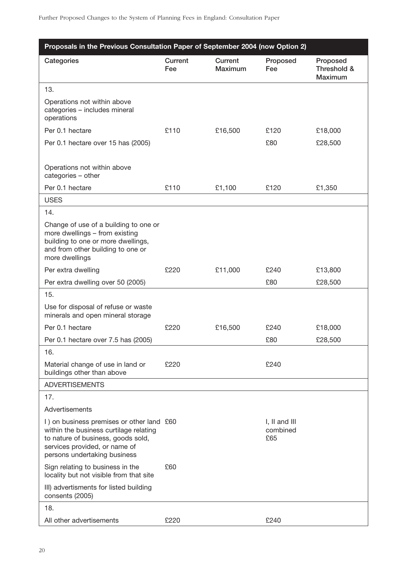| Proposals in the Previous Consultation Paper of September 2004 (now Option 2)                                                                                                              |                |                           |                                      |                                           |  |
|--------------------------------------------------------------------------------------------------------------------------------------------------------------------------------------------|----------------|---------------------------|--------------------------------------|-------------------------------------------|--|
| Categories                                                                                                                                                                                 | Current<br>Fee | Current<br><b>Maximum</b> | Proposed<br>Fee                      | Proposed<br>Threshold &<br><b>Maximum</b> |  |
| 13.                                                                                                                                                                                        |                |                           |                                      |                                           |  |
| Operations not within above<br>categories - includes mineral<br>operations                                                                                                                 |                |                           |                                      |                                           |  |
| Per 0.1 hectare                                                                                                                                                                            | £110           | £16,500                   | £120                                 | £18,000                                   |  |
| Per 0.1 hectare over 15 has (2005)                                                                                                                                                         |                |                           | £80                                  | £28,500                                   |  |
| Operations not within above<br>categories - other                                                                                                                                          |                |                           |                                      |                                           |  |
| Per 0.1 hectare                                                                                                                                                                            | £110           | £1,100                    | £120                                 | £1,350                                    |  |
| <b>USES</b>                                                                                                                                                                                |                |                           |                                      |                                           |  |
| 14.                                                                                                                                                                                        |                |                           |                                      |                                           |  |
| Change of use of a building to one or<br>more dwellings - from existing<br>building to one or more dwellings,<br>and from other building to one or<br>more dwellings                       |                |                           |                                      |                                           |  |
| Per extra dwelling                                                                                                                                                                         | £220           | £11,000                   | £240                                 | £13,800                                   |  |
| Per extra dwelling over 50 (2005)                                                                                                                                                          |                |                           | £80                                  | £28,500                                   |  |
| 15.                                                                                                                                                                                        |                |                           |                                      |                                           |  |
| Use for disposal of refuse or waste<br>minerals and open mineral storage                                                                                                                   |                |                           |                                      |                                           |  |
| Per 0.1 hectare                                                                                                                                                                            | £220           | £16,500                   | £240                                 | £18,000                                   |  |
| Per 0.1 hectare over 7.5 has (2005)                                                                                                                                                        |                |                           | £80                                  | £28,500                                   |  |
| 16.                                                                                                                                                                                        |                |                           |                                      |                                           |  |
| Material change of use in land or<br>buildings other than above                                                                                                                            | £220           |                           | £240                                 |                                           |  |
| <b>ADVERTISEMENTS</b>                                                                                                                                                                      |                |                           |                                      |                                           |  |
| 17.                                                                                                                                                                                        |                |                           |                                      |                                           |  |
| Advertisements                                                                                                                                                                             |                |                           |                                      |                                           |  |
| I) on business premises or other land £60<br>within the business curtilage relating<br>to nature of business, goods sold,<br>services provided, or name of<br>persons undertaking business |                |                           | $I, II$ and $III$<br>combined<br>£65 |                                           |  |
| Sign relating to business in the<br>locality but not visible from that site                                                                                                                | £60            |                           |                                      |                                           |  |
| III) advertisments for listed building<br>consents (2005)                                                                                                                                  |                |                           |                                      |                                           |  |
| 18.                                                                                                                                                                                        |                |                           |                                      |                                           |  |
| All other advertisements                                                                                                                                                                   | £220           |                           | £240                                 |                                           |  |